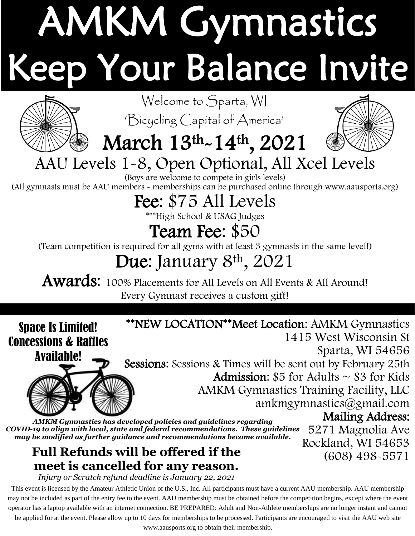# AMKM Gymnastics eep Your Balance Invite



Welcome to Sparta, WI

'Bicycling Capital of America'

## March 13th-14th, 2021



(608) 498-5571

#### AAU Levels 1-8, Open Optional, All Xcel Levels

(Boys are welcome to compete in girls levels) (All gymnasts must be AAU members - memberships can be purchased online through www.aausports.org)

### Fee: \$75 All Levels

\*\*\*High School & USAG Judges

#### Team Fee: \$50

(Team competition is required for all gyms with at least 3 gymnasts in the same level!)

## Due: January 8<sup>th</sup>, 2021

Awards: 100% Placements for All Levels on All Events & All Around! Every Gymnast receives a custom gift!

#### Space Is Limited! Concessions & Raffles



1415 West Wisconsin St Sparta, WI 54656 Sessions: Sessions & Times will be sent out by February 25th **Admission:**  $$5$  for Adults  $\sim$  \$3 for Kids AMKM Gymnastics Training Facility, LLC [amkmgymnastics@gmail.com](mailto:amkmgymnastics@gmail.com) Mailing Address: 5271 Magnolia Ave Rockland, WI 54653 *AMKM Gymnastics has developed policies and guidelines regarding COVID-19 to align with local, state and federal recommendations. These guidelines may be modified as further guidance and recommendations become available.*

\*\*NEW LOCATION\*\*Meet Location: AMKM Gymnastics

#### **Full Refunds will be offered if the meet is cancelled for any reason.**

*Injury or Scratch refund deadline is January 22, 2021*

This event is licensed by the Amateur Athletic Union of the U.S., Inc. All participants must have a current AAU membership. AAU membership may not be included as part of the entry fee to the event. AAU membership must be obtained before the competition begins, except where the event operator has a laptop available with an internet connection. BE PREPARED: Adult and Non-Athlete memberships are no longer instant and cannot

be applied for at the event. Please allow up to 10 days for memberships to be processed. Participants are encouraged to visit the AAU web site

www.aausports.org to obtain their membership.